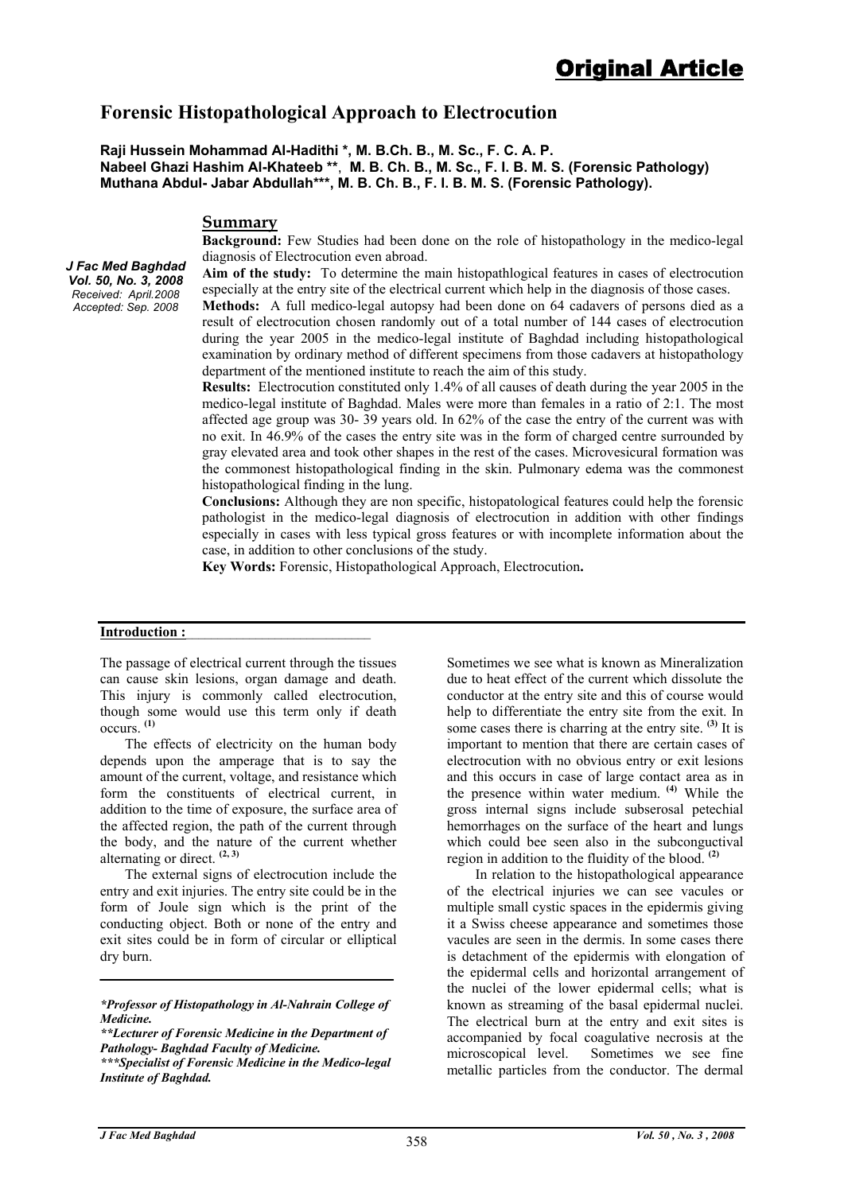# **Forensic Histopathological Approach to Electrocution**

**Raji Hussein Mohammad Al-Hadithi \*, M. B.Ch. B., M. Sc., F. C. A. P. Nabeel Ghazi Hashim Al-Khateeb \*\***, **M. B. Ch. B., M. Sc., F. I. B. M. S. (Forensic Pathology) Muthana Abdul- Jabar Abdullah\*\*\*, M. B. Ch. B., F. I. B. M. S. (Forensic Pathology).** 

### **Summary**

**Background:** Few Studies had been done on the role of histopathology in the medico-legal diagnosis of Electrocution even abroad.

**Aim of the study:** To determine the main histopathlogical features in cases of electrocution especially at the entry site of the electrical current which help in the diagnosis of those cases.

**Methods:** A full medico-legal autopsy had been done on 64 cadavers of persons died as a result of electrocution chosen randomly out of a total number of 144 cases of electrocution during the year 2005 in the medico-legal institute of Baghdad including histopathological examination by ordinary method of different specimens from those cadavers at histopathology department of the mentioned institute to reach the aim of this study.

**Results:** Electrocution constituted only 1.4% of all causes of death during the year 2005 in the medico-legal institute of Baghdad. Males were more than females in a ratio of 2:1. The most affected age group was 30- 39 years old. In 62% of the case the entry of the current was with no exit. In 46.9% of the cases the entry site was in the form of charged centre surrounded by gray elevated area and took other shapes in the rest of the cases. Microvesicural formation was the commonest histopathological finding in the skin. Pulmonary edema was the commonest histopathological finding in the lung.

**Conclusions:** Although they are non specific, histopatological features could help the forensic pathologist in the medico-legal diagnosis of electrocution in addition with other findings especially in cases with less typical gross features or with incomplete information about the case, in addition to other conclusions of the study.

**Key Words:** Forensic, Histopathological Approach, Electrocution**.** 

#### Introduction :

*J Fac Med Baghdad Vol. 50, No. 3, 2008 Received: April.2008 Accepted: Sep. 2008*

> The passage of electrical current through the tissues can cause skin lesions, organ damage and death. This injury is commonly called electrocution, though some would use this term only if death occurs. **(1)**

 The effects of electricity on the human body depends upon the amperage that is to say the amount of the current, voltage, and resistance which form the constituents of electrical current, in addition to the time of exposure, the surface area of the affected region, the path of the current through the body, and the nature of the current whether alternating or direct. **(2, 3)**

 The external signs of electrocution include the entry and exit injuries. The entry site could be in the form of Joule sign which is the print of the conducting object. Both or none of the entry and exit sites could be in form of circular or elliptical dry burn.

*\*\*Lecturer of Forensic Medicine in the Department of Pathology- Baghdad Faculty of Medicine.* 

Sometimes we see what is known as Mineralization due to heat effect of the current which dissolute the conductor at the entry site and this of course would help to differentiate the entry site from the exit. In some cases there is charring at the entry site. **(3)** It is important to mention that there are certain cases of electrocution with no obvious entry or exit lesions and this occurs in case of large contact area as in the presence within water medium. **(4)** While the gross internal signs include subserosal petechial hemorrhages on the surface of the heart and lungs which could bee seen also in the subconguctival region in addition to the fluidity of the blood. **(2)**

 In relation to the histopathological appearance of the electrical injuries we can see vacules or multiple small cystic spaces in the epidermis giving it a Swiss cheese appearance and sometimes those vacules are seen in the dermis. In some cases there is detachment of the epidermis with elongation of the epidermal cells and horizontal arrangement of the nuclei of the lower epidermal cells; what is known as streaming of the basal epidermal nuclei. The electrical burn at the entry and exit sites is accompanied by focal coagulative necrosis at the microscopical level. Sometimes we see fine metallic particles from the conductor. The dermal

*<sup>\*</sup>Professor of Histopathology in Al-Nahrain College of Medicine.* 

*<sup>\*\*\*</sup>Specialist of Forensic Medicine in the Medico-legal Institute of Baghdad.*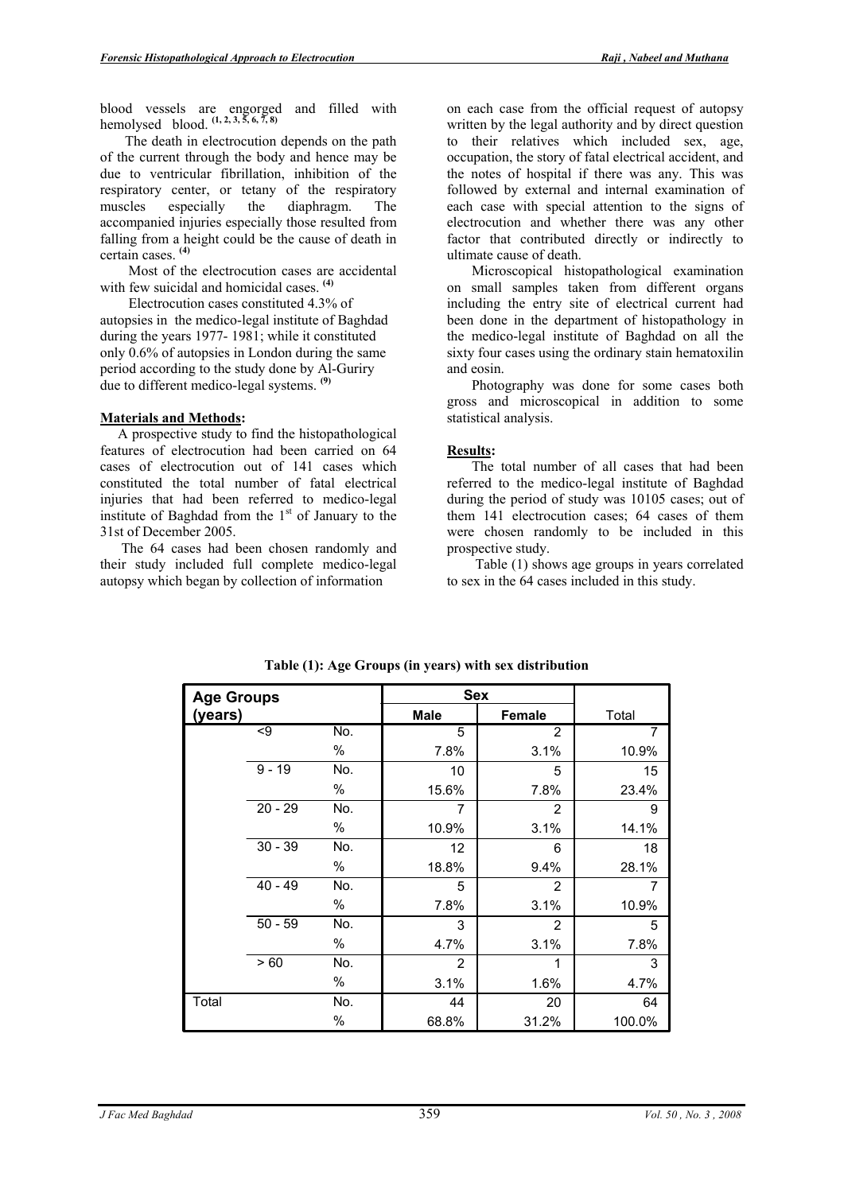blood vessels are engorged and filled with hemolysed blood. **(1, 2, 3, 5, 6, 7, 8)**

 The death in electrocution depends on the path of the current through the body and hence may be due to ventricular fibrillation, inhibition of the respiratory center, or tetany of the respiratory muscles especially the diaphragm. The accompanied injuries especially those resulted from falling from a height could be the cause of death in certain cases. **(4)**

 Most of the electrocution cases are accidental with few suicidal and homicidal cases. **(4)**

 Electrocution cases constituted 4.3% of autopsies in the medico-legal institute of Baghdad during the years 1977- 1981; while it constituted only 0.6% of autopsies in London during the same period according to the study done by Al-Guriry due to different medico-legal systems. **(9)**

#### **Materials and Methods:**

 A prospective study to find the histopathological features of electrocution had been carried on 64 cases of electrocution out of 141 cases which constituted the total number of fatal electrical injuries that had been referred to medico-legal institute of Baghdad from the  $1<sup>st</sup>$  of January to the 31st of December 2005.

 The 64 cases had been chosen randomly and their study included full complete medico-legal autopsy which began by collection of information

on each case from the official request of autopsy written by the legal authority and by direct question to their relatives which included sex, age, occupation, the story of fatal electrical accident, and the notes of hospital if there was any. This was followed by external and internal examination of each case with special attention to the signs of electrocution and whether there was any other factor that contributed directly or indirectly to ultimate cause of death.

 Microscopical histopathological examination on small samples taken from different organs including the entry site of electrical current had been done in the department of histopathology in the medico-legal institute of Baghdad on all the sixty four cases using the ordinary stain hematoxilin and eosin.

 Photography was done for some cases both gross and microscopical in addition to some statistical analysis.

### **Results:**

The total number of all cases that had been referred to the medico-legal institute of Baghdad during the period of study was 10105 cases; out of them 141 electrocution cases; 64 cases of them were chosen randomly to be included in this prospective study.

 Table (1) shows age groups in years correlated to sex in the 64 cases included in this study.

| <b>Age Groups</b> |                 | <b>Sex</b> |                |                |        |
|-------------------|-----------------|------------|----------------|----------------|--------|
| (years)           |                 |            | <b>Male</b>    | <b>Female</b>  | Total  |
|                   | $\overline{49}$ | No.        | 5              | $\overline{2}$ | 7      |
|                   |                 | %          | 7.8%           | 3.1%           | 10.9%  |
|                   | $9 - 19$        | No.        | 10             | 5              | 15     |
|                   |                 | %          | 15.6%          | 7.8%           | 23.4%  |
|                   | $20 - 29$       | No.        | 7              | 2              | 9      |
|                   |                 | %          | 10.9%          | 3.1%           | 14.1%  |
|                   | $30 - 39$       | No.        | 12             | 6              | 18     |
|                   |                 | %          | 18.8%          | 9.4%           | 28.1%  |
|                   | $40 - 49$       | No.        | 5              | 2              | 7      |
|                   |                 | %          | 7.8%           | 3.1%           | 10.9%  |
|                   | $50 - 59$       | No.        | 3              | 2              | 5      |
|                   |                 | %          | 4.7%           | 3.1%           | 7.8%   |
|                   | > 60            | No.        | $\overline{2}$ | 1              | 3      |
|                   |                 | %          | 3.1%           | 1.6%           | 4.7%   |
| Total             |                 | No.        | 44             | 20             | 64     |
|                   |                 | $\%$       | 68.8%          | 31.2%          | 100.0% |

**Table (1): Age Groups (in years) with sex distribution**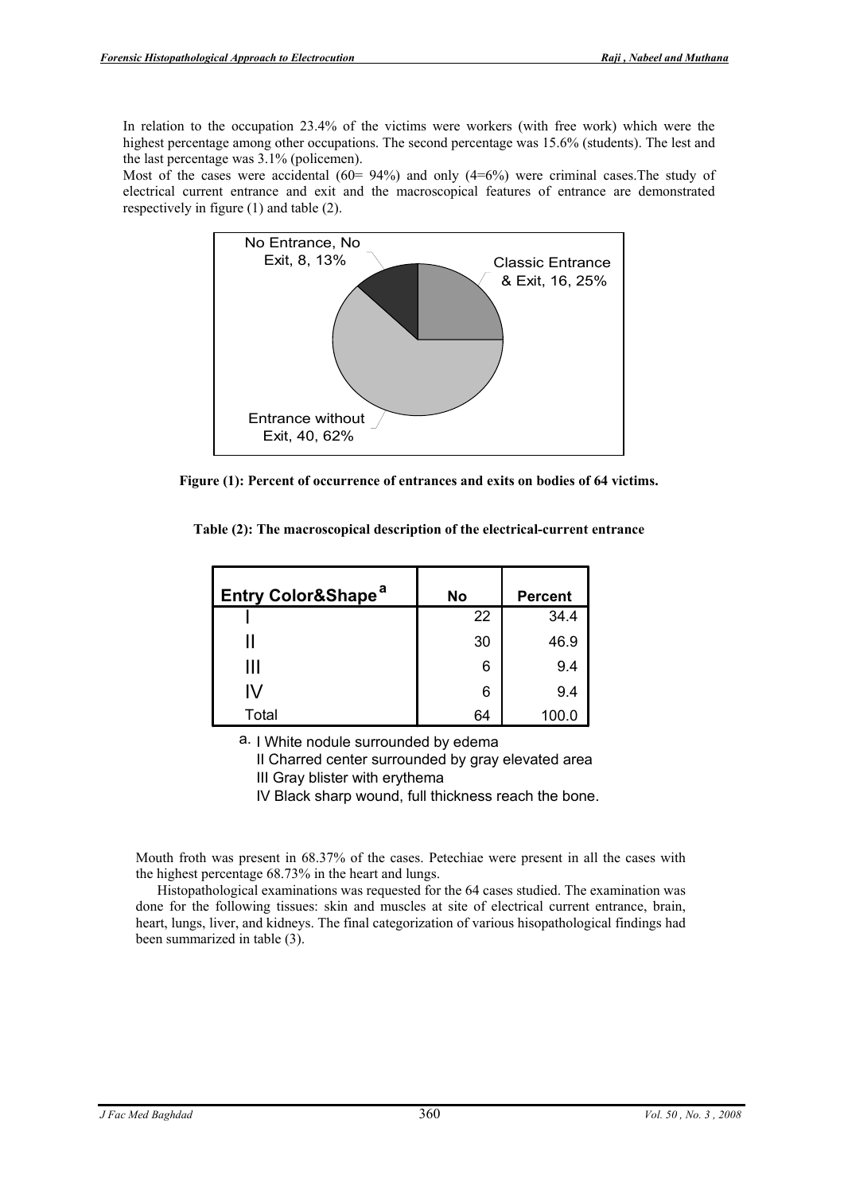In relation to the occupation 23.4% of the victims were workers (with free work) which were the highest percentage among other occupations. The second percentage was 15.6% (students). The lest and the last percentage was 3.1% (policemen).

Most of the cases were accidental  $(60 = 94\%)$  and only  $(4=6\%)$  were criminal cases. The study of electrical current entrance and exit and the macroscopical features of entrance are demonstrated respectively in figure (1) and table (2).



 **Figure (1): Percent of occurrence of entrances and exits on bodies of 64 victims.**

| Entry Color&Shape <sup>a</sup> | <b>No</b> | <b>Percent</b> |
|--------------------------------|-----------|----------------|
|                                | 22        | 34.4           |
|                                | 30        | 46.9           |
| Ш                              | 6         | 9.4            |
| IV                             | 6         | 9.4            |
| Total                          | 64        | 100.0          |

**Table (2): The macroscopical description of the electrical-current entrance**

a. I White nodule surrounded by edema

II Charred center surrounded by gray elevated area III Gray blister with erythema

IV Black sharp wound, full thickness reach the bone.

Mouth froth was present in 68.37% of the cases. Petechiae were present in all the cases with the highest percentage 68.73% in the heart and lungs.

 Histopathological examinations was requested for the 64 cases studied. The examination was done for the following tissues: skin and muscles at site of electrical current entrance, brain, heart, lungs, liver, and kidneys. The final categorization of various hisopathological findings had been summarized in table (3).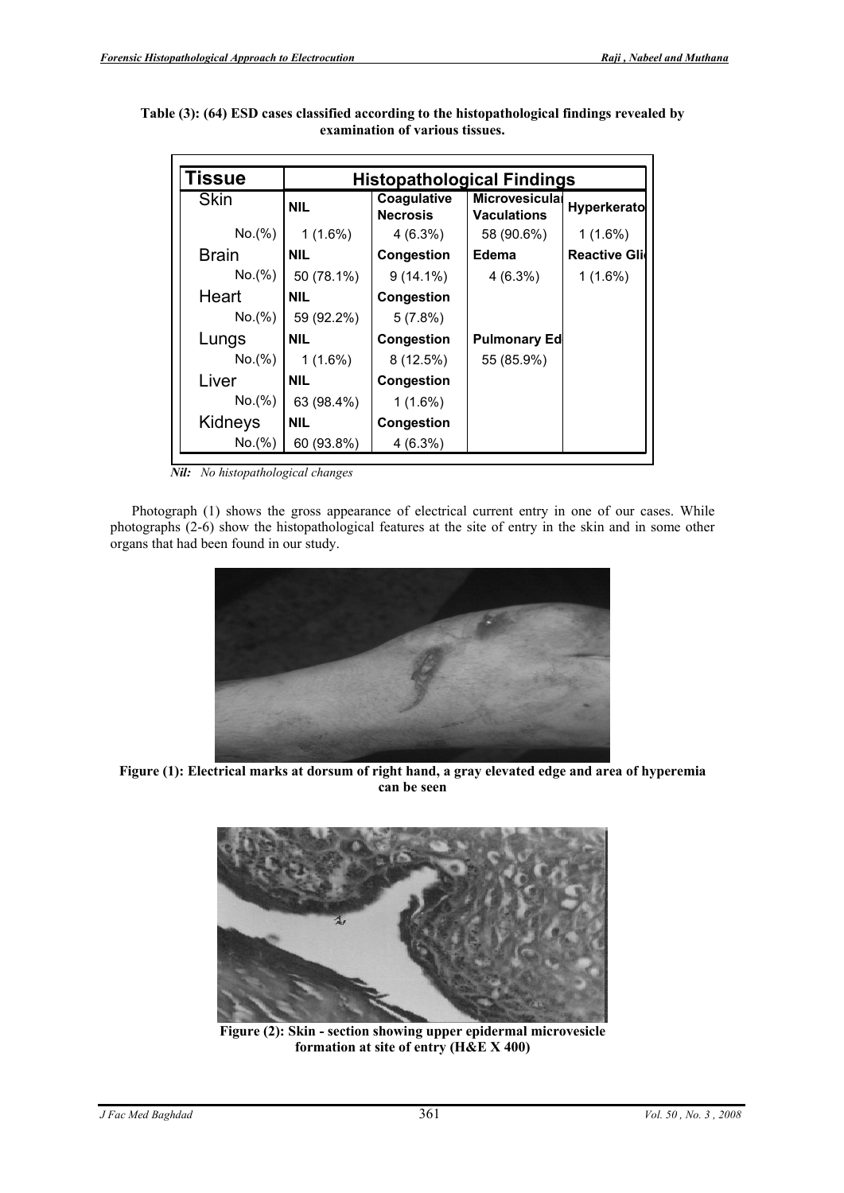| <b>Tissue</b> | <b>Histopathological Findings</b> |                                |                                             |                      |  |  |
|---------------|-----------------------------------|--------------------------------|---------------------------------------------|----------------------|--|--|
| <b>Skin</b>   | <b>NIL</b>                        | Coagulative<br><b>Necrosis</b> | <b>Microvesiculal</b><br><b>Vaculations</b> | <b>Hyperkerato</b>   |  |  |
| No.(%)        | $1(1.6\%)$                        | $4(6.3\%)$                     | 58 (90.6%)                                  | $1(1.6\%)$           |  |  |
| <b>Brain</b>  | <b>NIL</b>                        | Congestion                     | Edema                                       | <b>Reactive Glio</b> |  |  |
| No.(%)        | 50 (78.1%)                        | $9(14.1\%)$                    | $4(6.3\%)$                                  | $1(1.6\%)$           |  |  |
| Heart         | <b>NIL</b>                        | Congestion                     |                                             |                      |  |  |
| No.(%)        | 59 (92.2%)                        | 5(7.8%)                        |                                             |                      |  |  |
| Lungs         | <b>NIL</b>                        | <b>Congestion</b>              | <b>Pulmonary Ed</b>                         |                      |  |  |
| No.(%)        | $1(1.6\%)$                        | 8(12.5%)                       | 55 (85.9%)                                  |                      |  |  |
| Liver         | <b>NIL</b>                        | Congestion                     |                                             |                      |  |  |
| No.(%)        | 63 (98.4%)                        | $1(1.6\%)$                     |                                             |                      |  |  |
| Kidneys       | <b>NIL</b>                        | Congestion                     |                                             |                      |  |  |
| No.(%)        | 60 (93.8%)                        | $4(6.3\%)$                     |                                             |                      |  |  |

 **Table (3): (64) ESD cases classified according to the histopathological findings revealed by**  -<br>ก **examination of various tissues.** 

*Nil: No histopathological changes* 

 Photograph (1) shows the gross appearance of electrical current entry in one of our cases. While photographs (2-6) show the histopathological features at the site of entry in the skin and in some other organs that had been found in our study.



 **Figure (1): Electrical marks at dorsum of right hand, a gray elevated edge and area of hyperemia can be seen**



 **Figure (2): Skin - section showing upper epidermal microvesicle formation at site of entry (H&E X 400)**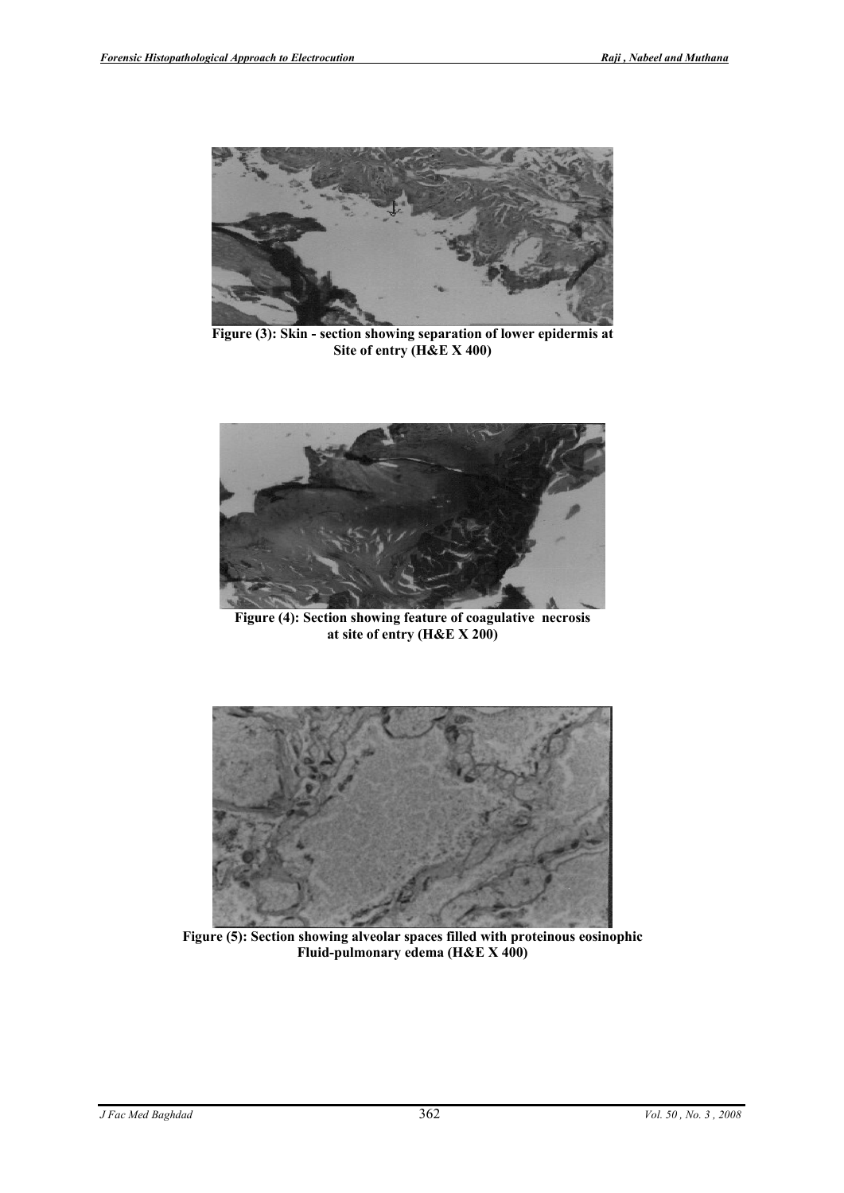

**Figure (3): Skin - section showing separation of lower epidermis at Site of entry (H&E X 400)**



**Figure (4): Section showing feature of coagulative necrosis at site of entry (H&E X 200)**



 **Figure (5): Section showing alveolar spaces filled with proteinous eosinophic Fluid-pulmonary edema (H&E X 400)**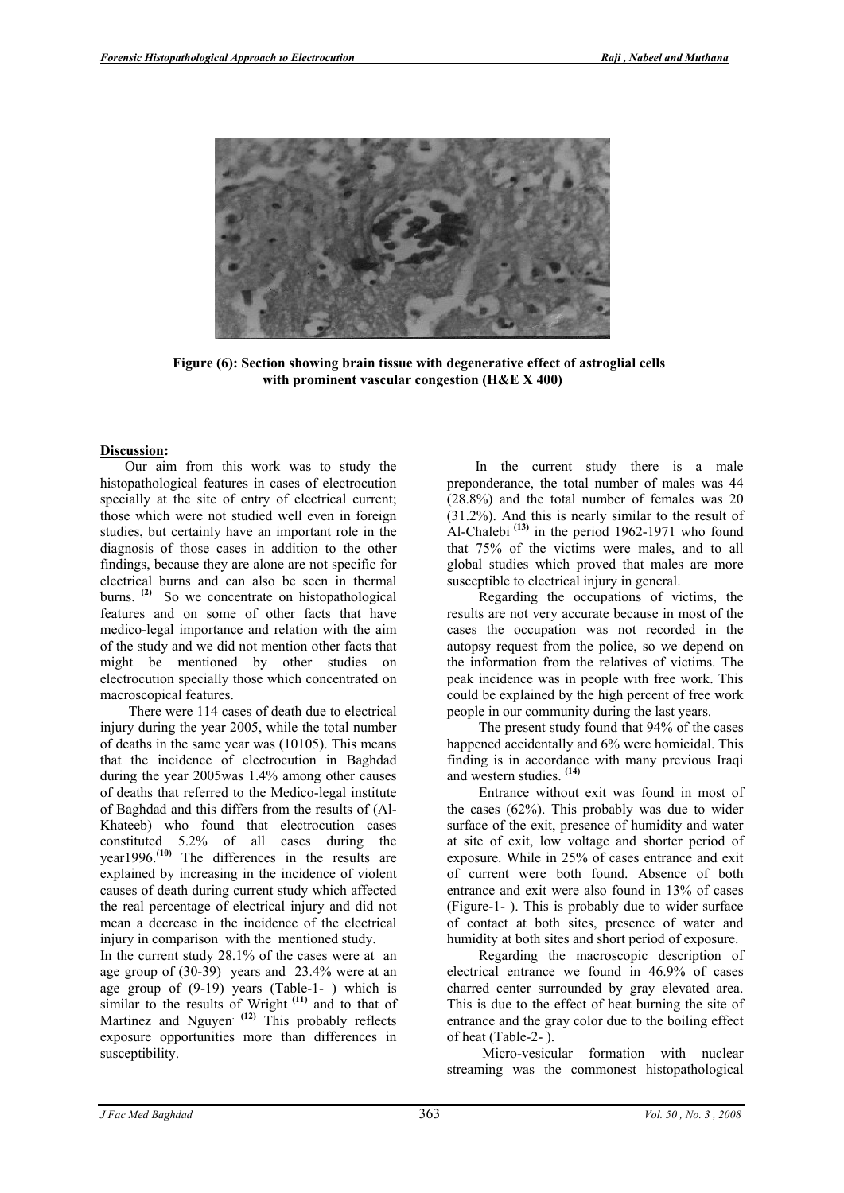

**Figure (6): Section showing brain tissue with degenerative effect of astroglial cells with prominent vascular congestion (H&E X 400)**

# **Discussion:**

Our aim from this work was to study the histopathological features in cases of electrocution specially at the site of entry of electrical current; those which were not studied well even in foreign studies, but certainly have an important role in the diagnosis of those cases in addition to the other findings, because they are alone are not specific for electrical burns and can also be seen in thermal burns. **(2)** So we concentrate on histopathological features and on some of other facts that have medico-legal importance and relation with the aim of the study and we did not mention other facts that might be mentioned by other studies on electrocution specially those which concentrated on macroscopical features.

 There were 114 cases of death due to electrical injury during the year 2005, while the total number of deaths in the same year was (10105). This means that the incidence of electrocution in Baghdad during the year 2005was 1.4% among other causes of deaths that referred to the Medico-legal institute of Baghdad and this differs from the results of (Al-Khateeb) who found that electrocution cases constituted 5.2% of all cases during the year1996.**(10)** The differences in the results are explained by increasing in the incidence of violent causes of death during current study which affected the real percentage of electrical injury and did not mean a decrease in the incidence of the electrical injury in comparison with the mentioned study.

In the current study 28.1% of the cases were at an age group of (30-39) years and 23.4% were at an age group of (9-19) years (Table-1- ) which is similar to the results of Wright **(11)** and to that of Martinez and Nguyen<sup>(12)</sup> This probably reflects exposure opportunities more than differences in susceptibility.

 In the current study there is a male preponderance, the total number of males was 44 (28.8%) and the total number of females was 20 (31.2%). And this is nearly similar to the result of Al-Chalebi **(13)** in the period 1962-1971 who found that 75% of the victims were males, and to all global studies which proved that males are more susceptible to electrical injury in general.

 Regarding the occupations of victims, the results are not very accurate because in most of the cases the occupation was not recorded in the autopsy request from the police, so we depend on the information from the relatives of victims. The peak incidence was in people with free work. This could be explained by the high percent of free work people in our community during the last years.

 The present study found that 94% of the cases happened accidentally and 6% were homicidal. This finding is in accordance with many previous Iraqi and western studies. **(14)**

 Entrance without exit was found in most of the cases (62%). This probably was due to wider surface of the exit, presence of humidity and water at site of exit, low voltage and shorter period of exposure. While in 25% of cases entrance and exit of current were both found. Absence of both entrance and exit were also found in 13% of cases (Figure-1- ). This is probably due to wider surface of contact at both sites, presence of water and humidity at both sites and short period of exposure.

 Regarding the macroscopic description of electrical entrance we found in 46.9% of cases charred center surrounded by gray elevated area. This is due to the effect of heat burning the site of entrance and the gray color due to the boiling effect of heat (Table-2- ).

 Micro-vesicular formation with nuclear streaming was the commonest histopathological